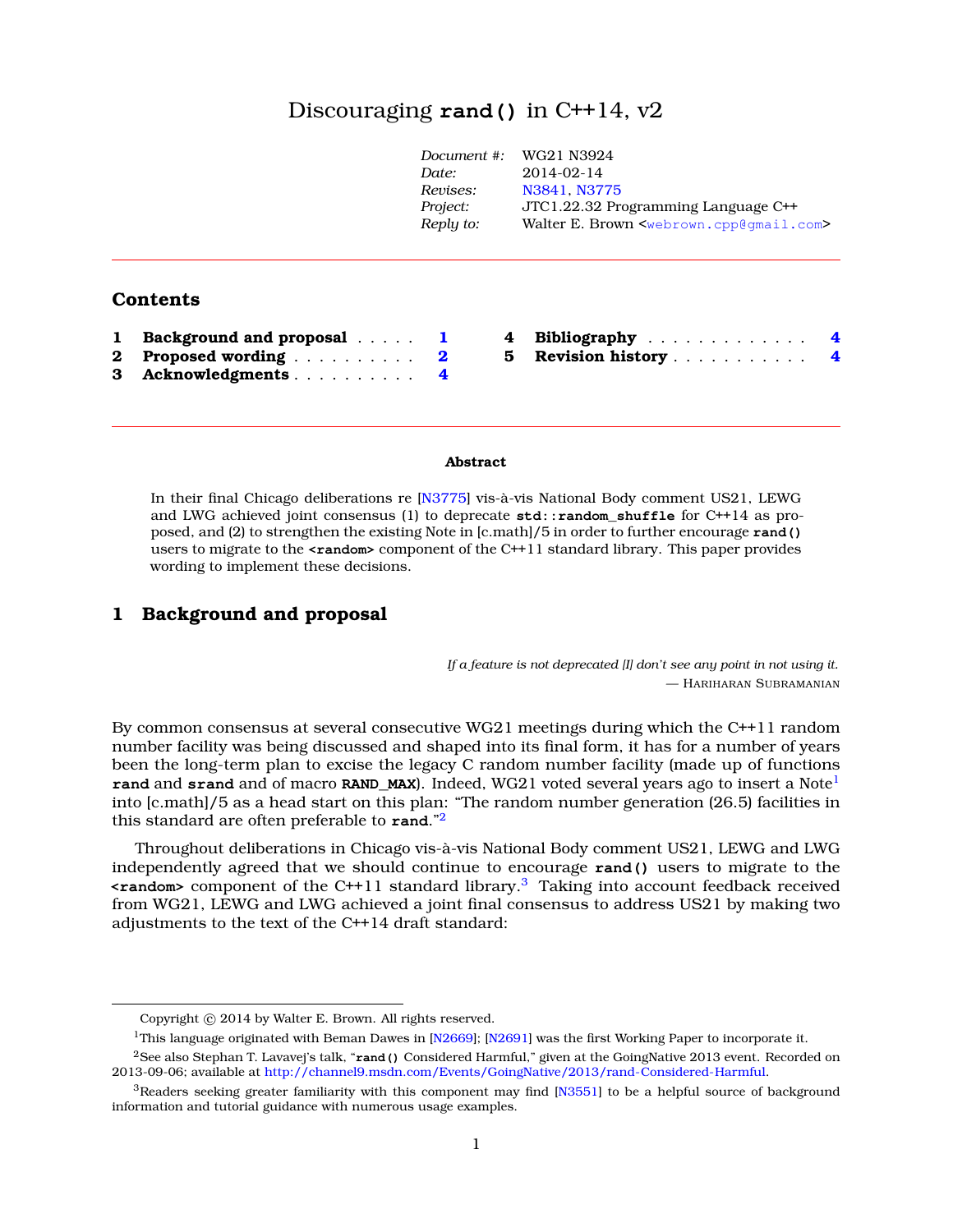# Discouraging **rand()** in C++14, v[2](#page-0-0)

| Document #: | WG21 N3924                                                      |
|-------------|-----------------------------------------------------------------|
| Date:       | $2014 - 02 - 14$                                                |
| Revises:    | N3841, N3775                                                    |
| Project:    | JTC1.22.32 Programming Language C++                             |
| Reply to:   | Walter E. Brown <webrown.cpp@qmail.com></webrown.cpp@qmail.com> |
|             |                                                                 |

## **Contents**

| 1 Background and proposal |  |
|---------------------------|--|
| 2 Proposed wording  2     |  |
| 3 Acknowledgments 4       |  |

| 4 Bibliography     | $\overline{\mathbf{4}}$ |
|--------------------|-------------------------|
| 5 Revision history | 4                       |

#### **Abstract**

In their final Chicago deliberations re [\[N3775\]](#page-3-3) vis-à-vis National Body comment US21, LEWG and LWG achieved joint consensus (1) to deprecate **std::random\_shuffle** for C++14 as proposed, and (2) to strengthen the existing Note in [c.math]/5 in order to further encourage **rand()** users to migrate to the **<random>** component of the C++11 standard library. This paper provides wording to implement these decisions.

## <span id="page-0-1"></span>**1 Background and proposal**

*If a feature is not deprecated [I] don't see any point in not using it.* — HARIHARAN SUBRAMANIAN

By common consensus at several consecutive WG21 meetings during which the C++11 random number facility was being discussed and shaped into its final form, it has for a number of years been the long-term plan to excise the legacy C random number facility (made up of functions **rand** and **srand** and of macro **RAND MAX**). Indeed, WG2[1](#page-0-2) voted several years ago to insert a Note<sup>1</sup> into [c.math]/5 as a head start on this plan: "The random number generation (26.5) facilities in this standard are often preferable to **rand**."[2](#page-0-3)

Throughout deliberations in Chicago vis-à-vis National Body comment US21, LEWG and LWG independently agreed that we should continue to encourage **rand()** users to migrate to the **<random>** component of the C++11 standard library.[3](#page-0-4) Taking into account feedback received from WG21, LEWG and LWG achieved a joint final consensus to address US21 by making two adjustments to the text of the C++14 draft standard:

<span id="page-0-0"></span>Copyright  $©$  2014 by Walter E. Brown. All rights reserved.

<span id="page-0-3"></span><span id="page-0-2"></span><sup>&</sup>lt;sup>1</sup>This language originated with Beman Dawes in [\[N2669\]](#page-3-4); [\[N2691\]](#page-3-5) was the first Working Paper to incorporate it.

<sup>2</sup>See also Stephan T. Lavavej's talk, "**rand()** Considered Harmful," given at the GoingNative 2013 event. Recorded on 2013-09-06; available at [http://channel9.msdn.com/Events/GoingNative/2013/rand-Considered-Harmful.](http://channel9.msdn.com/Events/GoingNative/2013/rand-Considered-Harmful)

<span id="page-0-4"></span> $3$ Readers seeking greater familiarity with this component may find [N $3551$ ] to be a helpful source of background information and tutorial guidance with numerous usage examples.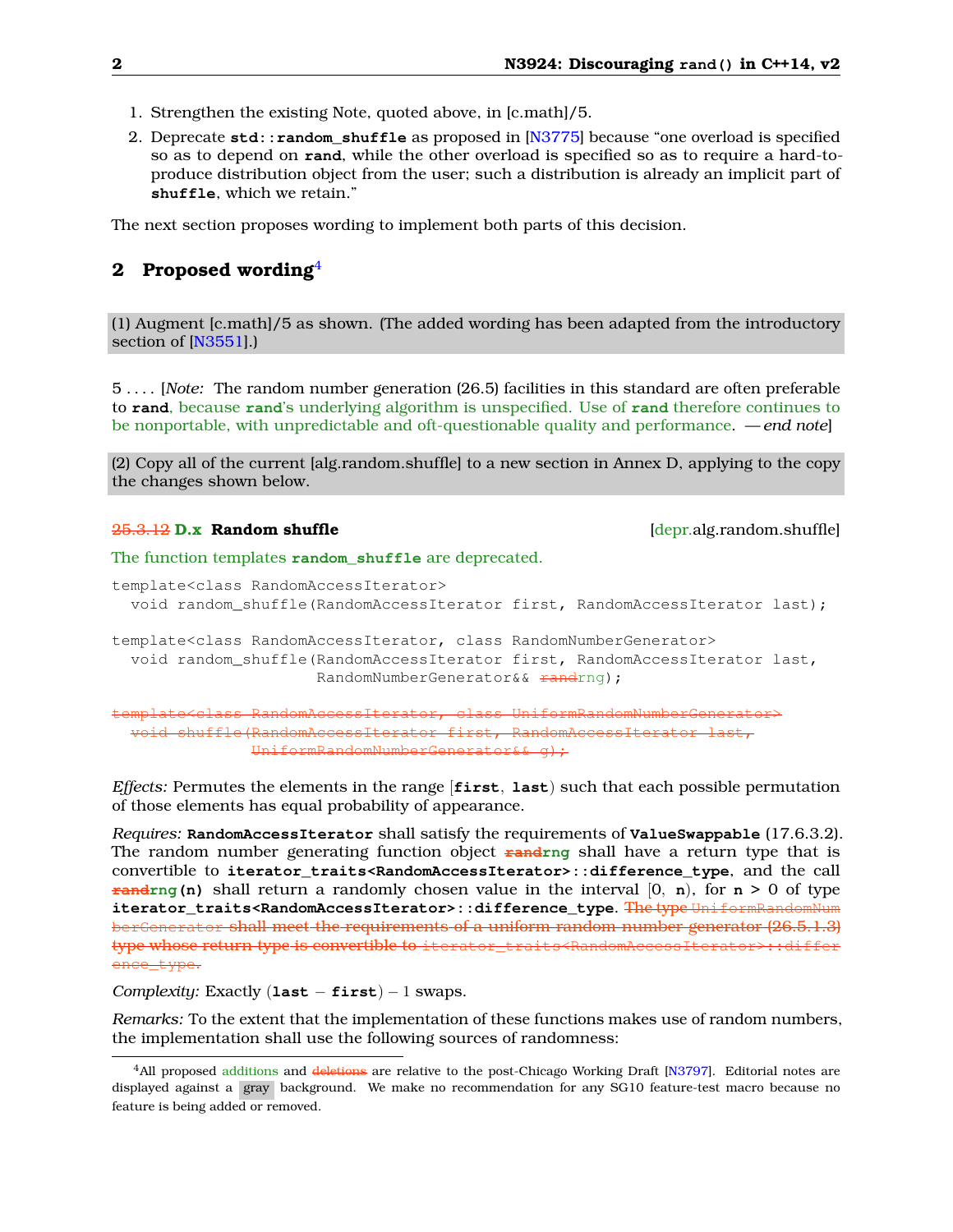- 1. Strengthen the existing Note, quoted above, in [c.math]/5.
- 2. Deprecate **std::random\_shuffle** as proposed in [\[N3775\]](#page-3-3) because "one overload is specified so as to depend on **rand**, while the other overload is specified so as to require a hard-toproduce distribution object from the user; such a distribution is already an implicit part of **shuffle**, which we retain."

<span id="page-1-0"></span>The next section proposes wording to implement both parts of this decision.

### **2 Proposed wording**[4](#page-1-1)

(1) Augment [c.math]/5 as shown. (The added wording has been adapted from the introductory section of [\[N3551\]](#page-3-6).)

5 . . . . [*Note:* The random number generation (26.5) facilities in this standard are often preferable to **rand**, because **rand**'s underlying algorithm is unspecified. Use of **rand** therefore continues to be nonportable, with unpredictable and oft-questionable quality and performance. — *end note*]

(2) Copy all of the current [alg.random.shuffle] to a new section in Annex D, applying to the copy the changes shown below.

#### 25.3.12 **D.x Random shuffle** [depr.alg.random.shuffle]

The function templates **random\_shuffle** are deprecated.

```
template<class RandomAccessIterator>
  void random_shuffle(RandomAccessIterator first, RandomAccessIterator last);
template<class RandomAccessIterator, class RandomNumberGenerator>
  void random_shuffle(RandomAccessIterator first, RandomAccessIterator last,
                       RandomNumberGenerator&& <del>rand</del>rng);
```
template<class RandomAccessIterator, class UniformRandomNumberGenerator> void shuffle(RandomAccessIterator first, RandomAccessIterator last, UniformRandomNumberGenerator&& g);

*Effects:* Permutes the elements in the range [**first**, **last**) such that each possible permutation of those elements has equal probability of appearance.

*Requires:* **RandomAccessIterator** shall satisfy the requirements of **ValueSwappable** (17.6.3.2). The random number generating function object **randrng** shall have a return type that is convertible to **iterator\_traits<RandomAccessIterator>::difference\_type**, and the call **randring (n)** shall return a randomly chosen value in the interval  $[0, n)$ , for  $n > 0$  of type **iterator\_traits<RandomAccessIterator>::difference\_type. The type Unit of the standard Contract Outer** berGenerator shall meet the requirements of a uniform random number generator (26.5.1.3) type whose return type is convertible to iterator\_traits<RandomAccessIterator> ence\_type.

*Complexity:* Exactly (**last** − **first**) − 1 swaps.

*Remarks:* To the extent that the implementation of these functions makes use of random numbers, the implementation shall use the following sources of randomness:

<span id="page-1-1"></span><sup>&</sup>lt;sup>4</sup>All proposed additions and deletions are relative to the post-Chicago Working Draft [\[N3797\]](#page-3-7). Editorial notes are displayed against a gray background. We make no recommendation for any SG10 feature-test macro because no feature is being added or removed.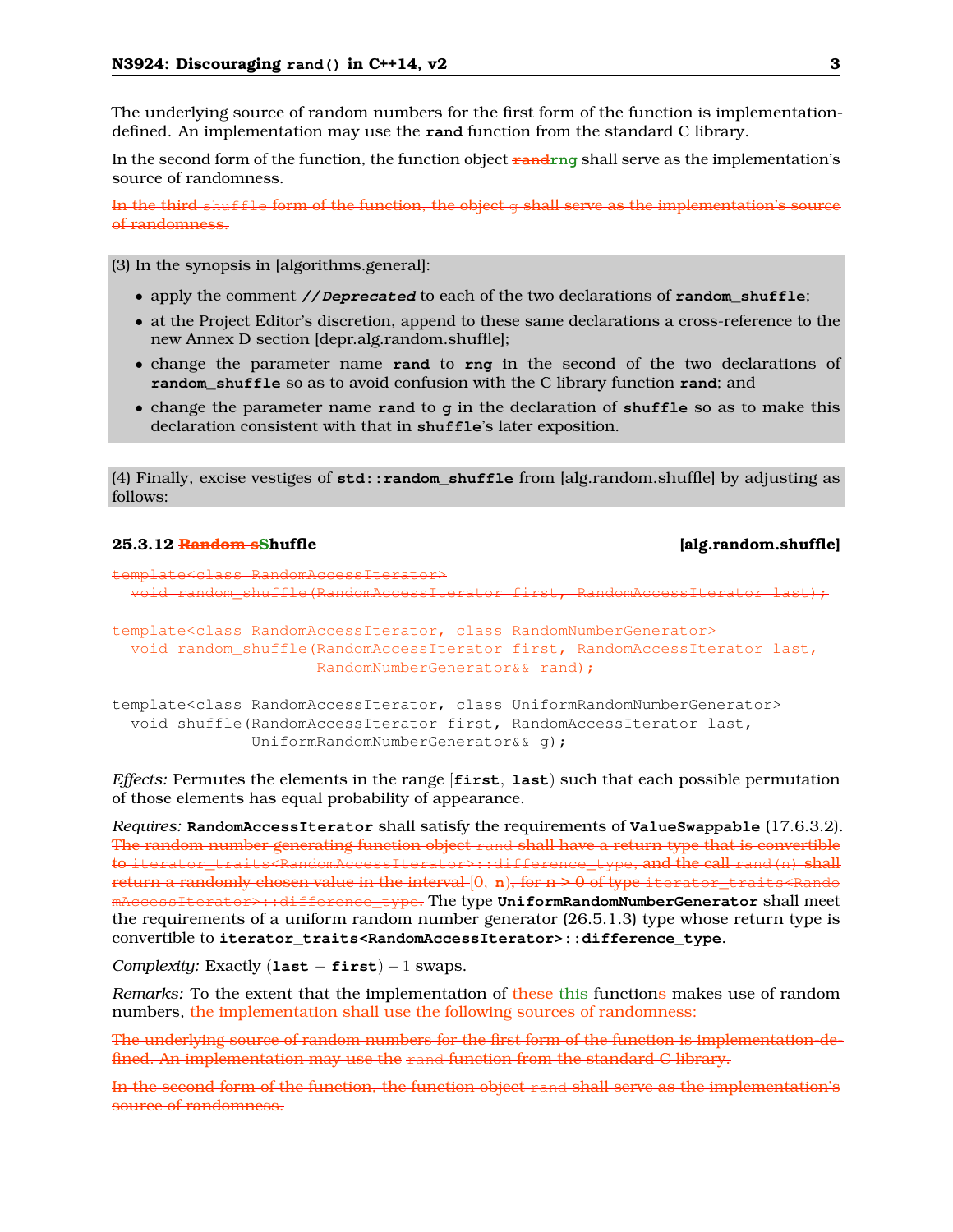The underlying source of random numbers for the first form of the function is implementationdefined. An implementation may use the **rand** function from the standard C library.

In the second form of the function, the function object **randrng** shall serve as the implementation's source of randomness.

In the third shuffle form of the function, the object g shall serve as the implementation's source of randomness.

(3) In the synopsis in [algorithms.general]:

- apply the comment **// Deprecated** to each of the two declarations of **random\_shuffle**;
- at the Project Editor's discretion, append to these same declarations a cross-reference to the new Annex D section [depr.alg.random.shuffle];
- change the parameter name **rand** to **rng** in the second of the two declarations of **random\_shuffle** so as to avoid confusion with the C library function **rand**; and
- change the parameter name **rand** to **g** in the declaration of **shuffle** so as to make this declaration consistent with that in **shuffle**'s later exposition.

(4) Finally, excise vestiges of **std::random\_shuffle** from [alg.random.shuffle] by adjusting as follows:

#### **25.3.12 Random sShuffle [alg.random.shuffle]**

template<class RandomAccessIterator>  $v = \text{diam}(R)$  random $\text{diam}(R)$ 

template<class RandomAccessIterator, class RandomNumberGenerator> void random shuffle(RandomAccessIterator first, RandomAccessIterat randl<u>.</u>

template<class RandomAccessIterator, class UniformRandomNumberGenerator> void shuffle(RandomAccessIterator first, RandomAccessIterator last, UniformRandomNumberGenerator&& g);

*Effects:* Permutes the elements in the range [**first**, **last**) such that each possible permutation of those elements has equal probability of appearance.

*Requires:* **RandomAccessIterator** shall satisfy the requirements of **ValueSwappable** (17.6.3.2). The random number generating function object rand shall have a return type that is convertible to iterator\_traits<RandomAccessIterator>::difference\_type, and the call rand(n) shall return a randomly chosen value in the interval  $[0, n)$ , for  $n > 0$  of type iterator\_traits<Rando mAccessIterator>::difference\_type. The type **UniformRandomNumberGenerator** shall meet the requirements of a uniform random number generator (26.5.1.3) type whose return type is convertible to **iterator\_traits<RandomAccessIterator>::difference\_type**.

*Complexity:* Exactly (**last** − **first**) − 1 swaps.

*Remarks:* To the extent that the implementation of these this functions makes use of random numbers, the implementation shall use the following sources of randomness:

The underlying source of random numbers for the first form of the function is implementation-defined. An implementation may use the rand function from the standard C library.

In the second form of the function, the function object rand shall serve as the implementation's source of randomness.